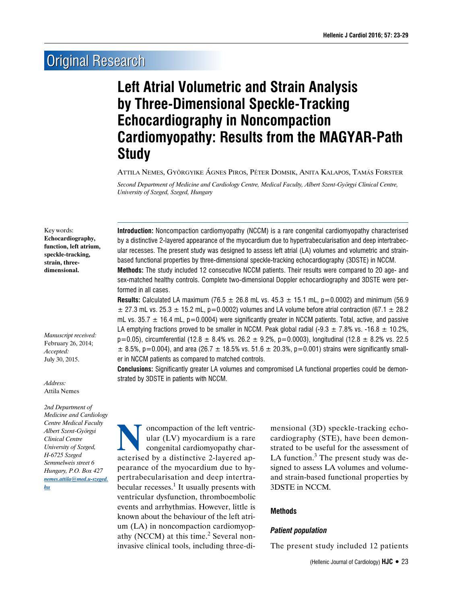# **Original Research**

# **Left Atrial Volumetric and Strain Analysis by Three-Dimensional Speckle-Tracking Echocardiography in Noncompaction Cardiomyopathy: Results from the MAGYAR-Path Study**

Attila Nemes, Györgyike �gnes Piros, Péter Domsik, Anita Kalapos, Tam�s Forster

*Second Department of Medicine and Cardiology Centre, Medical Faculty, Albert Szent-Györgyi Clinical Centre, University of Szeged, Szeged, Hungary*

#### Key words:

**Echocardiography, function, left atrium, speckle-tracking, strain, threedimensional.**

*Manuscript received:* February 26, 2014; *Accepted:* July 30, 2015.

*Address:* Attila Nemes

*2nd Department of Medicine and Cardiology Centre Medical Faculty Albert Szent-Györgyi Clinical Centre University of Szeged, H-6725 Szeged Semmelweis street 6 Hungary, P.O. Box 427 nemes.attila@med.u-szeged. hu*

**Introduction:** Noncompaction cardiomyopathy (NCCM) is a rare congenital cardiomyopathy characterised by a distinctive 2-layered appearance of the myocardium due to hypertrabecularisation and deep intertrabecular recesses. The present study was designed to assess left atrial (LA) volumes and volumetric and strainbased functional properties by three-dimensional speckle-tracking echocardiography (3DSTE) in NCCM.

**Methods:** The study included 12 consecutive NCCM patients. Their results were compared to 20 age- and sex-matched healthy controls. Complete two-dimensional Doppler echocardiography and 3DSTE were performed in all cases.

**Results:** Calculated LA maximum (76.5  $\pm$  26.8 mL vs. 45.3  $\pm$  15.1 mL, p=0.0002) and minimum (56.9  $\pm$  27.3 mL vs. 25.3  $\pm$  15.2 mL, p=0.0002) volumes and LA volume before atrial contraction (67.1  $\pm$  28.2 mL vs.  $35.7 \pm 16.4$  mL, p=0.0004) were significantly greater in NCCM patients. Total, active, and passive LA emptying fractions proved to be smaller in NCCM. Peak global radial (-9.3  $\pm$  7.8% vs. -16.8  $\pm$  10.2%,  $p=0.05$ ), circumferential (12.8  $\pm$  8.4% vs. 26.2  $\pm$  9.2%, p=0.0003), longitudinal (12.8  $\pm$  8.2% vs. 22.5  $\pm$  8.5%, p=0.004), and area (26.7  $\pm$  18.5% vs. 51.6  $\pm$  20.3%, p=0.001) strains were significantly smaller in NCCM patients as compared to matched controls.

**Conclusions:** Significantly greater LA volumes and compromised LA functional properties could be demonstrated by 3DSTE in patients with NCCM.

**Noncompaction of the left ventric-<br>
ular (LV) myocardium is a rare<br>
congenital cardiomyopathy char-<br>
acterised by a distinctive 2-layered an**ular (LV) myocardium is a rare congenital cardiomyopathy characterised by a distinctive 2-layered appearance of the myocardium due to hypertrabecularisation and deep intertrabecular recesses.<sup>1</sup> It usually presents with ventricular dysfunction, thromboembolic events and arrhythmias. However, little is known about the behaviour of the left atrium (LA) in noncompaction cardiomyopathy (NCCM) at this time.<sup>2</sup> Several noninvasive clinical tools, including three-di-

mensional (3D) speckle-tracking echocardiography (STE), have been demonstrated to be useful for the assessment of LA function.<sup>3</sup> The present study was designed to assess LA volumes and volumeand strain-based functional properties by 3DSTE in NCCM.

## **Methods**

## *Patient population*

The present study included 12 patients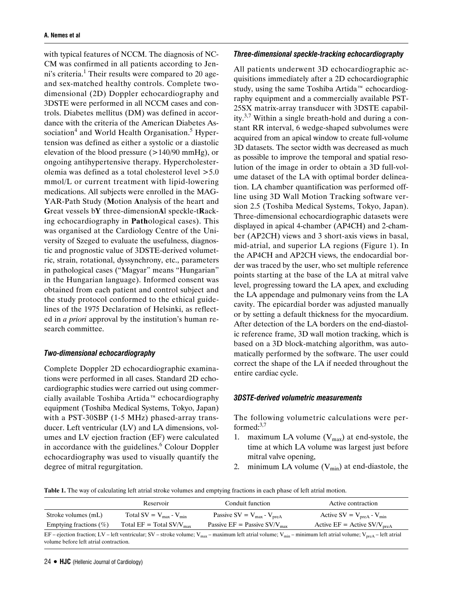with typical features of NCCM. The diagnosis of NC-CM was confirmed in all patients according to Jenni's criteria.<sup>1</sup> Their results were compared to 20 ageand sex-matched healthy controls. Complete twodimensional (2D) Doppler echocardiography and 3DSTE were performed in all NCCM cases and controls. Diabetes mellitus (DM) was defined in accordance with the criteria of the American Diabetes Association<sup>4</sup> and World Health Organisation.<sup>5</sup> Hypertension was defined as either a systolic or a diastolic elevation of the blood pressure  $(>140/90 \text{ mmHg})$ , or ongoing antihypertensive therapy. Hypercholesterolemia was defined as a total cholesterol level >5.0 mmol/L or current treatment with lipid-lowering medications. All subjects were enrolled in the MAG-YAR-Path Study (**M**otion **A**nalysis of the heart and **G**reat vessels b**Y** three-dimension**A**l speckle-t**R**acking echocardiography in **Path**ological cases). This was organised at the Cardiology Centre of the University of Szeged to evaluate the usefulness, diagnostic and prognostic value of 3DSTE-derived volumetric, strain, rotational, dyssynchrony, etc., parameters in pathological cases ("Magyar" means "Hungarian" in the Hungarian language). Informed consent was obtained from each patient and control subject and the study protocol conformed to the ethical guidelines of the 1975 Declaration of Helsinki, as reflected in *a priori* approval by the institution's human research committee.

#### *Two-dimensional echocardiography*

Complete Doppler 2D echocardiographic examinations were performed in all cases. Standard 2D echocardiographic studies were carried out using commercially available Toshiba Artida™ echocardiography equipment (Toshiba Medical Systems, Tokyo, Japan) with a PST-30SBP (1-5 MHz) phased-array transducer. Left ventricular (LV) and LA dimensions, volumes and LV ejection fraction (EF) were calculated in accordance with the guidelines. $6$  Colour Doppler echocardiography was used to visually quantify the degree of mitral regurgitation.

#### *Three-dimensional speckle-tracking echocardiography*

All patients underwent 3D echocardiographic acquisitions immediately after a 2D echocardiographic study, using the same Toshiba Artida™ echocardiography equipment and a commercially available PST-25SX matrix-array transducer with 3DSTE capability.<sup>3,7</sup> Within a single breath-hold and during a constant RR interval, 6 wedge-shaped subvolumes were acquired from an apical window to create full-volume 3D datasets. The sector width was decreased as much as possible to improve the temporal and spatial resolution of the image in order to obtain a 3D full-volume dataset of the LA with optimal border delineation. LA chamber quantification was performed offline using 3D Wall Motion Tracking software version 2.5 (Toshiba Medical Systems, Tokyo, Japan). Three-dimensional echocardiographic datasets were displayed in apical 4-chamber (AP4CH) and 2-chamber (AP2CH) views and 3 short-axis views in basal, mid-atrial, and superior LA regions (Figure 1). In the AP4CH and AP2CH views, the endocardial border was traced by the user, who set multiple reference points starting at the base of the LA at mitral valve level, progressing toward the LA apex, and excluding the LA appendage and pulmonary veins from the LA cavity. The epicardial border was adjusted manually or by setting a default thickness for the myocardium. After detection of the LA borders on the end-diastolic reference frame, 3D wall motion tracking, which is based on a 3D block-matching algorithm, was automatically performed by the software. The user could correct the shape of the LA if needed throughout the entire cardiac cycle.

#### *3DSTE-derived volumetric measurements*

The following volumetric calculations were performed: $3,7$ 

- 1. maximum LA volume  $(V_{max})$  at end-systole, the time at which LA volume was largest just before mitral valve opening,
- 2. minimum LA volume  $(V_{min})$  at end-diastole, the

**Table 1.** The way of calculating left atrial stroke volumes and emptying fractions in each phase of left atrial motion.

|                                                                                                                                                                                                                                            | Reservoir                        | Conduit function                           | Active contraction                        |  |
|--------------------------------------------------------------------------------------------------------------------------------------------------------------------------------------------------------------------------------------------|----------------------------------|--------------------------------------------|-------------------------------------------|--|
| Stroke volumes (mL)                                                                                                                                                                                                                        | Total SV = $V_{max}$ - $V_{min}$ | Passive SV = $V_{max}$ - $V_{preA}$        | Active SV = $V_{preA}$ - $V_{min}$        |  |
| Emptying fractions $(\%)$                                                                                                                                                                                                                  | Total $EF = Total SV/V_{max}$    | Passive $EF =$ Passive $SV/V_{\text{max}}$ | Active $EF =$ Active SV/V <sub>preA</sub> |  |
| EF – ejection fraction; LV – left ventricular; SV – stroke volume; V <sub>max</sub> – maximum left atrial volume; V <sub>min</sub> – minimum left atrial volume; V <sub>preA</sub> – left atrial<br>volume before left atrial contraction. |                                  |                                            |                                           |  |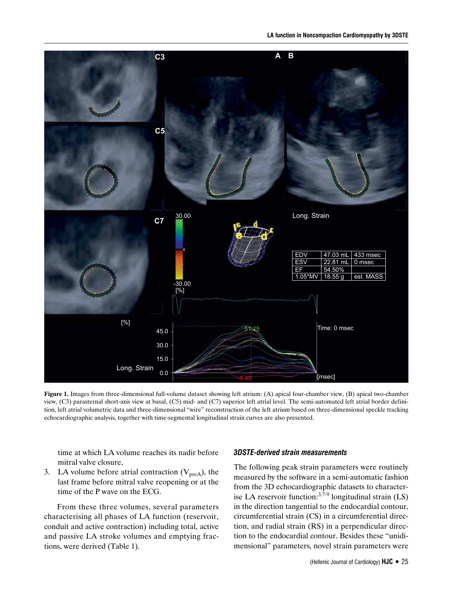

**Figure 1.** Images from three-dimensional full-volume dataset showing left atrium: (A) apical four-chamber view, (B) apical two-chamber view, (C3) parasternal short-axis view at basal, (C5) mid- and (C7) superior left atrial level. The semi-automated left atrial border definition, left atrial volumetric data and three-dimensional "wire" reconstruction of the left atrium based on three-dimensional speckle tracking echocardiographic analysis, together with time-segmental longitudinal strain curves are also presented.

time at which LA volume reaches its nadir before mitral valve closure,

3. LA volume before atrial contraction  $(V_{preA})$ , the last frame before mitral valve reopening or at the time of the P wave on the ECG.

From these three volumes, several parameters characterising all phases of LA function (reservoir, conduit and active contraction) including total, active and passive LA stroke volumes and emptying fractions, were derived (Table 1).

## *3DSTE-derived strain measurements*

The following peak strain parameters were routinely measured by the software in a semi-automatic fashion from the 3D echocardiographic datasets to characterise LA reservoir function:<sup>3,7-9</sup> longitudinal strain  $(LS)$ in the direction tangential to the endocardial contour, circumferential strain (CS) in a circumferential direction, and radial strain (RS) in a perpendicular direction to the endocardial contour. Besides these "unidimensional" parameters, novel strain parameters were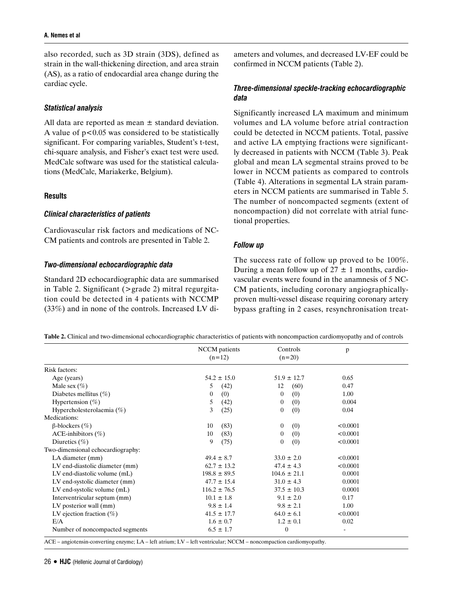also recorded, such as 3D strain (3DS), defined as strain in the wall-thickening direction, and area strain (AS), as a ratio of endocardial area change during the cardiac cycle.

## *Statistical analysis*

All data are reported as mean  $\pm$  standard deviation. A value of  $p<0.05$  was considered to be statistically significant. For comparing variables, Student's t-test, chi-square analysis, and Fisher's exact test were used. MedCalc software was used for the statistical calculations (MedCalc, Mariakerke, Belgium).

## **Results**

## *Clinical characteristics of patients*

Cardiovascular risk factors and medications of NC-CM patients and controls are presented in Table 2.

# *Two-dimensional echocardiographic data*

Standard 2D echocardiographic data are summarised in Table 2. Significant (>grade 2) mitral regurgitation could be detected in 4 patients with NCCMP (33%) and in none of the controls. Increased LV diameters and volumes, and decreased LV-EF could be confirmed in NCCM patients (Table 2).

# *Three-dimensional speckle-tracking echocardiographic data*

Significantly increased LA maximum and minimum volumes and LA volume before atrial contraction could be detected in NCCM patients. Total, passive and active LA emptying fractions were significantly decreased in patients with NCCM (Table 3). Peak global and mean LA segmental strains proved to be lower in NCCM patients as compared to controls (Table 4). Alterations in segmental LA strain parameters in NCCM patients are summarised in Table 5. The number of noncompacted segments (extent of noncompaction) did not correlate with atrial functional properties.

## *Follow up*

The success rate of follow up proved to be 100%. During a mean follow up of  $27 \pm 1$  months, cardiovascular events were found in the anamnesis of 5 NC-CM patients, including coronary angiographicallyproven multi-vessel disease requiring coronary artery bypass grafting in 2 cases, resynchronisation treat-

**Table 2.** Clinical and two-dimensional echocardiographic characteristics of patients with noncompaction cardiomyopathy and of controls

|                                   | NCCM patients<br>$(n=12)$ | Controls<br>$(n=20)$ | p        |
|-----------------------------------|---------------------------|----------------------|----------|
| Risk factors:                     |                           |                      |          |
| Age (years)                       | $54.2 \pm 15.0$           | $51.9 \pm 12.7$      | 0.65     |
| Male sex $(\%)$                   | 5<br>(42)                 | (60)<br>12           | 0.47     |
| Diabetes mellitus $(\%)$          | $\boldsymbol{0}$<br>(0)   | (0)<br>$\theta$      | 1.00     |
| Hypertension $(\%)$               | 5<br>(42)                 | (0)<br>$\theta$      | 0.004    |
| Hypercholesterolaemia (%)         | 3<br>(25)                 | (0)<br>$\theta$      | 0.04     |
| Medications:                      |                           |                      |          |
| $\beta$ -blockers (%)             | 10<br>(83)                | (0)<br>$\theta$      | < 0.0001 |
| ACE-inhibitors $(\%)$             | 10<br>(83)                | (0)<br>$\theta$      | < 0.0001 |
| Diuretics $(\% )$                 | 9<br>(75)                 | (0)<br>$\theta$      | < 0.0001 |
| Two-dimensional echocardiography: |                           |                      |          |
| LA diameter (mm)                  | $49.4 \pm 8.7$            | $33.0 \pm 2.0$       | < 0.0001 |
| LV end-diastolic diameter (mm)    | $62.7 \pm 13.2$           | $47.4 \pm 4.3$       | < 0.0001 |
| LV end-diastolic volume (mL)      | $198.8 \pm 89.5$          | $104.6 \pm 21.1$     | 0.0001   |
| LV end-systolic diameter (mm)     | $47.7 \pm 15.4$           | $31.0 \pm 4.3$       | 0.0001   |
| $LV$ end-systolic volume $(mL)$   | $116.2 \pm 76.5$          | $37.5 \pm 10.3$      | 0.0001   |
| Interventricular septum (mm)      | $10.1 \pm 1.8$            | $9.1 \pm 2.0$        | 0.17     |
| LV posterior wall (mm)            | $9.8 \pm 1.4$             | $9.8 \pm 2.1$        | 1.00     |
| LV ejection fraction $(\%)$       | $41.5 \pm 17.7$           | $64.0 \pm 6.1$       | < 0.0001 |
| E/A                               | $1.6 \pm 0.7$             | $1.2 \pm 0.1$        | 0.02     |
| Number of noncompacted segments   | $6.5 \pm 1.7$             | $\theta$             | ۰        |

ACE – angiotensin-converting enzyme; LA – left atrium; LV – left ventricular; NCCM – noncompaction cardiomyopathy.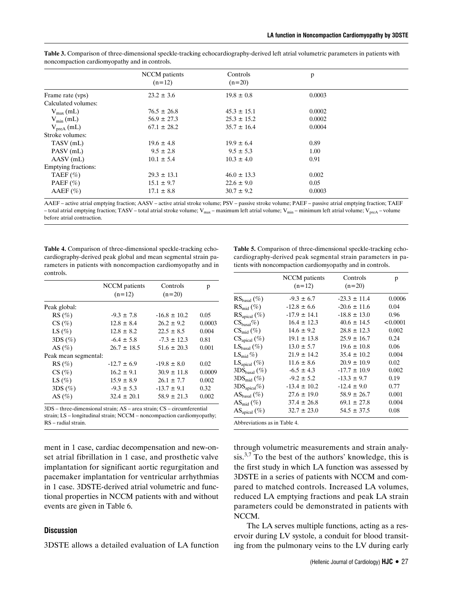|                            | NCCM patients   | Controls        | p      |  |
|----------------------------|-----------------|-----------------|--------|--|
|                            | $(n=12)$        | $(n=20)$        |        |  |
| Frame rate (vps)           | $23.2 \pm 3.6$  | $19.8 \pm 0.8$  | 0.0003 |  |
| Calculated volumes:        |                 |                 |        |  |
| $V_{\text{max}}$ (mL)      | $76.5 \pm 26.8$ | $45.3 \pm 15.1$ | 0.0002 |  |
| $V_{\min}$ (mL)            | $56.9 \pm 27.3$ | $25.3 \pm 15.2$ | 0.0002 |  |
| $V_{\text{preA}}$ (mL)     | $67.1 \pm 28.2$ | $35.7 \pm 16.4$ | 0.0004 |  |
| Stroke volumes:            |                 |                 |        |  |
| TASV (mL)                  | $19.6 \pm 4.8$  | $19.9 \pm 6.4$  | 0.89   |  |
| PASV (mL)                  | $9.5 \pm 2.8$   | $9.5 \pm 5.3$   | 1.00   |  |
| $AASV$ (mL)                | $10.1 \pm 5.4$  | $10.3 \pm 4.0$  | 0.91   |  |
| <b>Emptying fractions:</b> |                 |                 |        |  |
| TAEF $(\% )$               | $29.3 \pm 13.1$ | $46.0 \pm 13.3$ | 0.002  |  |
| PAEF $(\% )$               | $15.1 \pm 9.7$  | $22.6 \pm 9.0$  | 0.05   |  |
| $AAEF (\%)$                | $17.1 \pm 8.8$  | $30.7 \pm 9.2$  | 0.0003 |  |

**Table 3.** Comparison of three-dimensional speckle-tracking echocardiography-derived left atrial volumetric parameters in patients with noncompaction cardiomyopathy and in controls.

AAEF – active atrial emptying fraction; AASV – active atrial stroke volume; PSV – passive stroke volume; PAEF – passive atrial emptying fraction; TAEF – total atrial emptying fraction; TASV – total atrial stroke volume;  $V_{max}$  – maximum left atrial volume;  $V_{min}$  – minimum left atrial volume;  $V_{proA}$  – volume before atrial contraction.

**Table 4.** Comparison of three-dimensional speckle-tracking echocardiography-derived peak global and mean segmental strain parameters in patients with noncompaction cardiomyopathy and in controls.

|                      | <b>NCCM</b> patients<br>$(n=12)$ | Controls<br>$(n=20)$ | p      |
|----------------------|----------------------------------|----------------------|--------|
| Peak global:         |                                  |                      |        |
| $RS(\%)$             | $-9.3 \pm 7.8$                   | $-16.8 \pm 10.2$     | 0.05   |
| CS(%)                | $12.8 \pm 8.4$                   | $26.2 \pm 9.2$       | 0.0003 |
| LS $(\%)$            | $12.8 \pm 8.2$                   | $22.5 \pm 8.5$       | 0.004  |
| 3DS(%)               | $-6.4 \pm 5.8$                   | $-7.3 \pm 12.3$      | 0.81   |
| AS $(\%)$            | $26.7 \pm 18.5$                  | $51.6 \pm 20.3$      | 0.001  |
| Peak mean segmental: |                                  |                      |        |
| $RS(\%)$             | $-12.7 \pm 6.9$                  | $-19.8 \pm 8.0$      | 0.02   |
| CS(%)                | $16.2 \pm 9.1$                   | $30.9 \pm 11.8$      | 0.0009 |
| LS $(\%)$            | $15.9 \pm 8.9$                   | $26.1 \pm 7.7$       | 0.002  |
| 3DS(%)               | $-9.3 \pm 5.3$                   | $-13.7 \pm 9.1$      | 0.32   |
| AS $(\%)$            | $32.4 \pm 20.1$                  | $58.9 \pm 21.3$      | 0.002  |

3DS – three-dimensional strain; AS – area strain; CS – circumferential strain; LS – longitudinal strain; NCCM – noncompaction cardiomyopathy; RS – radial strain.

ment in 1 case, cardiac decompensation and new-onset atrial fibrillation in 1 case, and prosthetic valve implantation for significant aortic regurgitation and pacemaker implantation for ventricular arrhythmias in 1 case. 3DSTE-derived atrial volumetric and functional properties in NCCM patients with and without events are given in Table 6.

#### **Discussion**

3DSTE allows a detailed evaluation of LA function

**Table 5.** Comparison of three-dimensional speckle-tracking echocardiography-derived peak segmental strain parameters in patients with noncompaction cardiomyopathy and in controls.

|                                 | NCCM patients<br>$(n=12)$ | Controls<br>$(n=20)$ | p        |
|---------------------------------|---------------------------|----------------------|----------|
| $RS_{basal}(\%)$                | $-9.3 \pm 6.7$            | $-23.3 \pm 11.4$     | 0.0006   |
| $RS_{mid} (\%)$                 | $-12.8 \pm 6.6$           | $-20.6 \pm 11.6$     | 0.04     |
| $\text{RS}_{\text{apical}}(\%)$ | $-17.9 \pm 14.1$          | $-18.8 \pm 13.0$     | 0.96     |
| $CS_{\text{hasal}}\%$           | $16.4 \pm 12.3$           | $40.6 \pm 14.5$      | < 0.0001 |
| $CS_{mid}$ (%)                  | $14.6 \pm 9.2$            | $28.8 \pm 12.3$      | 0.002    |
| $CS_{\rm apical}(\%)$           | $19.1 \pm 13.8$           | $25.9 \pm 16.7$      | 0.24     |
| $LS_{\text{basal}}(\%)$         | $13.0 \pm 5.7$            | $19.6 \pm 10.8$      | 0.06     |
| $LS_{mid}$ %)                   | $21.9 \pm 14.2$           | $35.4 \pm 10.2$      | 0.004    |
| $LS_{\text{apical}}(\%)$        | $11.6 \pm 8.6$            | $20.9 \pm 10.9$      | 0.02     |
| $3DS_{\text{basal}}(\%)$        | $-6.5 \pm 4.3$            | $-17.7 \pm 10.9$     | 0.002    |
| $3DS_{mid}$ (%)                 | $-9.2 \pm 5.2$            | $-13.3 \pm 9.7$      | 0.19     |
| $3DS_{\text{apical}}\%$         | $-13.4 \pm 10.2$          | $-12.4 \pm 9.0$      | 0.77     |
| $AS_{basal}(\%)$                | $27.6 \pm 19.0$           | $58.9 \pm 26.7$      | 0.001    |
| $AS_{mid}$ (%)                  | $37.4 \pm 26.8$           | $69.1 \pm 27.8$      | 0.004    |
| $ASapical (\%)$                 | $32.7 \pm 23.0$           | $54.5 \pm 37.5$      | 0.08     |
| Abbreviations as in Table 4.    |                           |                      |          |

through volumetric measurements and strain analy- $\sin^{3,7}$  To the best of the authors' knowledge, this is the first study in which LA function was assessed by 3DSTE in a series of patients with NCCM and compared to matched controls. Increased LA volumes, reduced LA emptying fractions and peak LA strain parameters could be demonstrated in patients with NCCM.

The LA serves multiple functions, acting as a reservoir during LV systole, a conduit for blood transiting from the pulmonary veins to the LV during early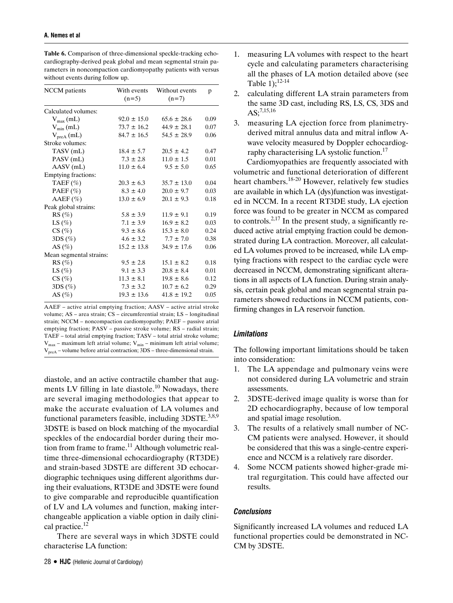| <b>NCCM</b> patients    | With events<br>$(n=5)$ | Without events<br>$(n=7)$ | p    |
|-------------------------|------------------------|---------------------------|------|
| Calculated volumes:     |                        |                           |      |
| $V_{\text{max}}$ (mL)   | $92.0 \pm 15.0$        | $65.6 \pm 28.6$           | 0.09 |
| $V_{min}(mL)$           | $73.7 \pm 16.2$        | $44.9 \pm 28.1$           | 0.07 |
| $V_{preA}$ (mL)         | $84.7 \pm 16.5$        | $54.5 \pm 28.9$           | 0.06 |
| Stroke volumes:         |                        |                           |      |
| TASV (mL)               | $18.4 \pm 5.7$         | $20.5 \pm 4.2$            | 0.47 |
| PASV (mL)               | $7.3 \pm 2.8$          | $11.0 \pm 1.5$            | 0.01 |
| AASV (mL)               | $11.0 \pm 6.4$         | $9.5 \pm 5.0$             | 0.65 |
| Emptying fractions:     |                        |                           |      |
| TAEF $(\% )$            | $20.3 \pm 6.3$         | $35.7 \pm 13.0$           | 0.04 |
| PAEF $(\% )$            | $8.3 \pm 4.0$          | $20.0 \pm 9.7$            | 0.03 |
| $AAEF (\%)$             | $13.0 \pm 6.9$         | $20.1 \pm 9.3$            | 0.18 |
| Peak global strains:    |                        |                           |      |
| $RS(\%)$                | $5.8 \pm 3.9$          | $11.9 \pm 9.1$            | 0.19 |
| LS $(\%)$               | $7.1 \pm 3.9$          | $16.9 \pm 8.2$            | 0.03 |
| CS(%)                   | $9.3 \pm 8.6$          | $15.3 \pm 8.0$            | 0.24 |
| 3DS(%)                  | $4.6 \pm 3.2$          | $7.7 \pm 7.0$             | 0.38 |
| AS $(\%)$               | $15.2 \pm 13.8$        | $34.9 \pm 17.6$           | 0.06 |
| Mean segmental strains: |                        |                           |      |
| $RS(\%)$                | $9.5 \pm 2.8$          | $15.1 \pm 8.2$            | 0.18 |
| LS $(\%)$               | $9.1 \pm 3.3$          | $20.8 \pm 8.4$            | 0.01 |
| CS(%)                   | $11.3 \pm 8.1$         | $19.8 \pm 8.6$            | 0.12 |
| $3DS(\%)$               | $7.3 \pm 3.2$          | $10.7 \pm 6.2$            | 0.29 |
| AS $(\%)$               | $19.3 \pm 13.6$        | $41.8 \pm 19.2$           | 0.05 |

**Table 6.** Comparison of three-dimensional speckle-tracking echocardiography-derived peak global and mean segmental strain parameters in noncompaction cardiomyopathy patients with versus without events during follow up.

AAEF – active atrial emptying fraction; AASV – active atrial stroke volume; AS – area strain; CS – circumferential strain; LS – longitudinal strain; NCCM – noncompaction cardiomyopathy; PAEF – passive atrial emptying fraction; PASV – passive stroke volume; RS – radial strain; TAEF – total atrial emptying fraction; TASV – total atrial stroke volume;  $V_{\text{max}}$  – maximum left atrial volume;  $V_{\text{min}}$  – minimum left atrial volume;  $V_{\text{preA}}$  – volume before atrial contraction; 3DS – three-dimensional strain.

diastole, and an active contractile chamber that augments LV filling in late diastole.<sup>10</sup> Nowadays, there are several imaging methodologies that appear to make the accurate evaluation of LA volumes and functional parameters feasible, including  $3DSTE^{3,8,9}$ 3DSTE is based on block matching of the myocardial speckles of the endocardial border during their motion from frame to frame.<sup>11</sup> Although volumetric realtime three-dimensional echocardiography (RT3DE) and strain-based 3DSTE are different 3D echocardiographic techniques using different algorithms during their evaluations, RT3DE and 3DSTE were found to give comparable and reproducible quantification of LV and LA volumes and function, making interchangeable application a viable option in daily clinical practice.<sup>12</sup>

There are several ways in which 3DSTE could characterise LA function:

- 2. calculating different LA strain parameters from the same 3D cast, including RS, LS, CS, 3DS and  $AS:7,15,16$
- 3. measuring LA ejection force from planimetryderived mitral annulus data and mitral inflow Awave velocity measured by Doppler echocardiography characterising LA systolic function.<sup>17</sup>

Cardiomyopathies are frequently associated with volumetric and functional deterioration of different heart chambers.18-20 However, relatively few studies are available in which LA (dys)function was investigated in NCCM. In a recent RT3DE study, LA ejection force was found to be greater in NCCM as compared to controls.<sup>2,17</sup> In the present study, a significantly reduced active atrial emptying fraction could be demonstrated during LA contraction. Moreover, all calculated LA volumes proved to be increased, while LA emptying fractions with respect to the cardiac cycle were decreased in NCCM, demonstrating significant alterations in all aspects of LA function. During strain analysis, certain peak global and mean segmental strain parameters showed reductions in NCCM patients, confirming changes in LA reservoir function.

# *Limitations*

The following important limitations should be taken into consideration:

- 1. The LA appendage and pulmonary veins were not considered during LA volumetric and strain assessments.
- 2. 3DSTE-derived image quality is worse than for 2D echocardiography, because of low temporal and spatial image resolution.
- 3. The results of a relatively small number of NC-CM patients were analysed. However, it should be considered that this was a single-centre experience and NCCM is a relatively rare disorder.
- 4. Some NCCM patients showed higher-grade mitral regurgitation. This could have affected our results.

# *Conclusions*

Significantly increased LA volumes and reduced LA functional properties could be demonstrated in NC-CM by 3DSTE.